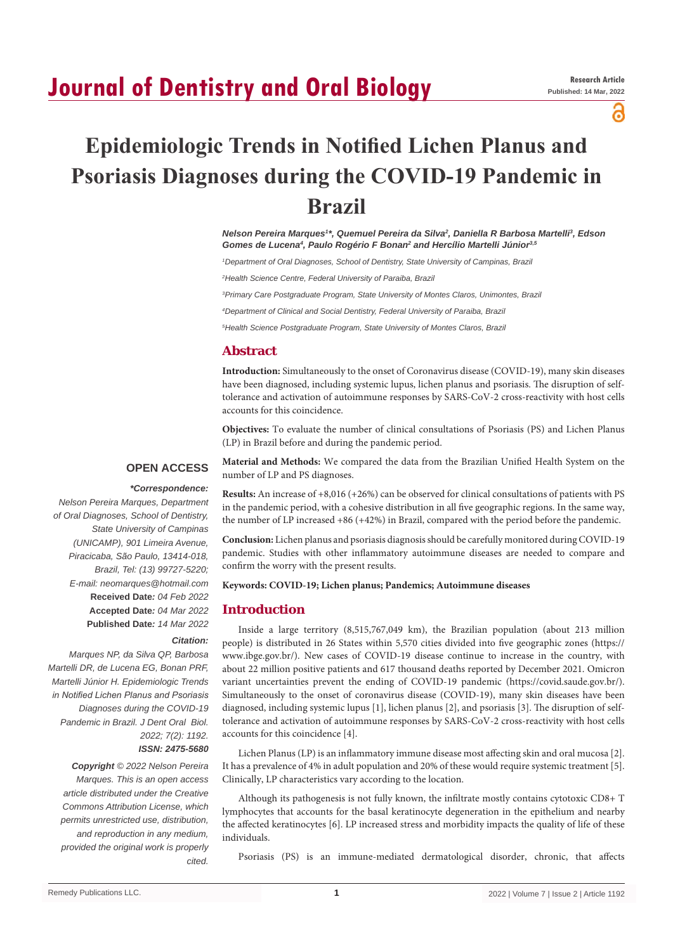# **Journal of Dentistry and Oral Biology**

a

# **Epidemiologic Trends in Notified Lichen Planus and Psoriasis Diagnoses during the COVID-19 Pandemic in Brazil**

*Nelson Pereira Marques1 \*, Quemuel Pereira da Silva2 , Daniella R Barbosa Martelli3 , Edson*  Gomes de Lucena<sup>4</sup>, Paulo Rogério F Bonan<sup>2</sup> and Hercílio Martelli Júnior<sup>3,5</sup>

*1 Department of Oral Diagnoses, School of Dentistry, State University of Campinas, Brazil*

*2 Health Science Centre, Federal University of Paraiba, Brazil*

*3 Primary Care Postgraduate Program, State University of Montes Claros, Unimontes, Brazil*

*4 Department of Clinical and Social Dentistry, Federal University of Paraiba, Brazil*

*5 Health Science Postgraduate Program, State University of Montes Claros, Brazil*

#### **Abstract**

**Introduction:** Simultaneously to the onset of Coronavirus disease (COVID-19), many skin diseases have been diagnosed, including systemic lupus, lichen planus and psoriasis. The disruption of selftolerance and activation of autoimmune responses by SARS-CoV-2 cross-reactivity with host cells accounts for this coincidence.

**Objectives:** To evaluate the number of clinical consultations of Psoriasis (PS) and Lichen Planus (LP) in Brazil before and during the pandemic period.

#### **OPEN ACCESS**

**Material and Methods:** We compared the data from the Brazilian Unified Health System on the number of LP and PS diagnoses.

 *\*Correspondence:*

*Nelson Pereira Marques, Department of Oral Diagnoses, School of Dentistry, State University of Campinas (UNICAMP), 901 Limeira Avenue, Piracicaba, São Paulo, 13414-018, Brazil, Tel: (13) 99727-5220; E-mail: neomarques@hotmail.com* **Received Date***: 04 Feb 2022* **Accepted Date***: 04 Mar 2022* **Published Date***: 14 Mar 2022*

#### *Citation:*

*Marques NP, da Silva QP, Barbosa Martelli DR, de Lucena EG, Bonan PRF, Martelli Júnior H. Epidemiologic Trends in Notified Lichen Planus and Psoriasis Diagnoses during the COVID-19 Pandemic in Brazil. J Dent Oral Biol. 2022; 7(2): 1192.*

### *ISSN: 2475-5680*

*Copyright © 2022 Nelson Pereira Marques. This is an open access article distributed under the Creative Commons Attribution License, which permits unrestricted use, distribution, and reproduction in any medium, provided the original work is properly cited.*

**Results:** An increase of +8,016 (+26%) can be observed for clinical consultations of patients with PS in the pandemic period, with a cohesive distribution in all five geographic regions. In the same way, the number of LP increased +86 (+42%) in Brazil, compared with the period before the pandemic.

**Conclusion:** Lichen planus and psoriasis diagnosis should be carefully monitored during COVID-19 pandemic. Studies with other inflammatory autoimmune diseases are needed to compare and confirm the worry with the present results.

#### **Keywords: COVID-19; Lichen planus; Pandemics; Autoimmune diseases**

### **Introduction**

Inside a large territory (8,515,767,049 km), the Brazilian population (about 213 million people) is distributed in 26 States within 5,570 cities divided into five geographic zones (https:// www.ibge.gov.br/). New cases of COVID-19 disease continue to increase in the country, with about 22 million positive patients and 617 thousand deaths reported by December 2021. Omicron variant uncertainties prevent the ending of COVID-19 pandemic (https://covid.saude.gov.br/). Simultaneously to the onset of coronavirus disease (COVID-19), many skin diseases have been diagnosed, including systemic lupus [1], lichen planus [2], and psoriasis [3]. The disruption of selftolerance and activation of autoimmune responses by SARS-CoV-2 cross-reactivity with host cells accounts for this coincidence [4].

Lichen Planus (LP) is an inflammatory immune disease most affecting skin and oral mucosa [2]. It has a prevalence of 4% in adult population and 20% of these would require systemic treatment [5]. Clinically, LP characteristics vary according to the location.

Although its pathogenesis is not fully known, the infiltrate mostly contains cytotoxic CD8+ T lymphocytes that accounts for the basal keratinocyte degeneration in the epithelium and nearby the affected keratinocytes [6]. LP increased stress and morbidity impacts the quality of life of these individuals.

Psoriasis (PS) is an immune-mediated dermatological disorder, chronic, that affects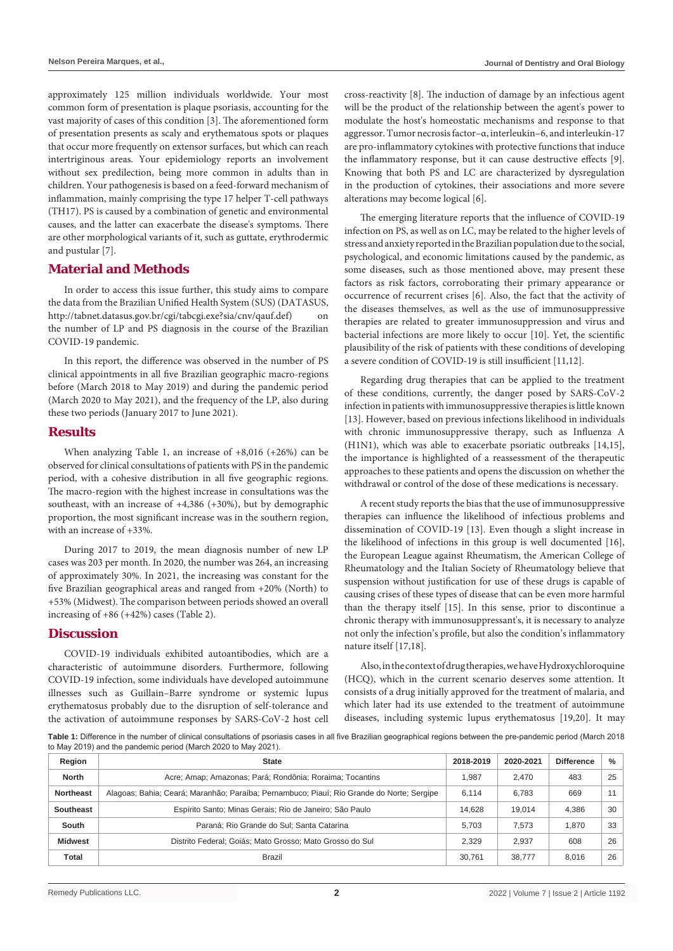approximately 125 million individuals worldwide. Your most common form of presentation is plaque psoriasis, accounting for the vast majority of cases of this condition [3]. The aforementioned form of presentation presents as scaly and erythematous spots or plaques that occur more frequently on extensor surfaces, but which can reach intertriginous areas. Your epidemiology reports an involvement without sex predilection, being more common in adults than in children. Your pathogenesis is based on a feed-forward mechanism of inflammation, mainly comprising the type 17 helper T-cell pathways (TH17). PS is caused by a combination of genetic and environmental causes, and the latter can exacerbate the disease's symptoms. There are other morphological variants of it, such as guttate, erythrodermic and pustular [7].

### **Material and Methods**

In order to access this issue further, this study aims to compare the data from the Brazilian Unified Health System (SUS) (DATASUS, http://tabnet.datasus.gov.br/cgi/tabcgi.exe?sia/cnv/qauf.def) on the number of LP and PS diagnosis in the course of the Brazilian COVID-19 pandemic.

In this report, the difference was observed in the number of PS clinical appointments in all five Brazilian geographic macro-regions before (March 2018 to May 2019) and during the pandemic period (March 2020 to May 2021), and the frequency of the LP, also during these two periods (January 2017 to June 2021).

#### **Results**

When analyzing Table 1, an increase of +8,016 (+26%) can be observed for clinical consultations of patients with PS in the pandemic period, with a cohesive distribution in all five geographic regions. The macro-region with the highest increase in consultations was the southeast, with an increase of +4,386 (+30%), but by demographic proportion, the most significant increase was in the southern region, with an increase of +33%.

During 2017 to 2019, the mean diagnosis number of new LP cases was 203 per month. In 2020, the number was 264, an increasing of approximately 30%. In 2021, the increasing was constant for the five Brazilian geographical areas and ranged from +20% (North) to +53% (Midwest). The comparison between periods showed an overall increasing of +86 (+42%) cases (Table 2).

#### **Discussion**

COVID-19 individuals exhibited autoantibodies, which are a characteristic of autoimmune disorders. Furthermore, following COVID-19 infection, some individuals have developed autoimmune illnesses such as Guillain–Barre syndrome or systemic lupus erythematosus probably due to the disruption of self-tolerance and the activation of autoimmune responses by SARS-CoV-2 host cell cross-reactivity [8]. The induction of damage by an infectious agent will be the product of the relationship between the agent's power to modulate the host's homeostatic mechanisms and response to that aggressor. Tumor necrosis factor–α, interleukin–6, and interleukin-17 are pro-inflammatory cytokines with protective functions that induce the inflammatory response, but it can cause destructive effects [9]. Knowing that both PS and LC are characterized by dysregulation in the production of cytokines, their associations and more severe alterations may become logical [6].

The emerging literature reports that the influence of COVID-19 infection on PS, as well as on LC, may be related to the higher levels of stress and anxiety reported in the Brazilian population due to the social, psychological, and economic limitations caused by the pandemic, as some diseases, such as those mentioned above, may present these factors as risk factors, corroborating their primary appearance or occurrence of recurrent crises [6]. Also, the fact that the activity of the diseases themselves, as well as the use of immunosuppressive therapies are related to greater immunosuppression and virus and bacterial infections are more likely to occur [10]. Yet, the scientific plausibility of the risk of patients with these conditions of developing a severe condition of COVID-19 is still insufficient [11,12].

Regarding drug therapies that can be applied to the treatment of these conditions, currently, the danger posed by SARS-CoV-2 infection in patients with immunosuppressive therapies is little known [13]. However, based on previous infections likelihood in individuals with chronic immunosuppressive therapy, such as Influenza A (H1N1), which was able to exacerbate psoriatic outbreaks [14,15], the importance is highlighted of a reassessment of the therapeutic approaches to these patients and opens the discussion on whether the withdrawal or control of the dose of these medications is necessary.

A recent study reports the bias that the use of immunosuppressive therapies can influence the likelihood of infectious problems and dissemination of COVID-19 [13]. Even though a slight increase in the likelihood of infections in this group is well documented [16], the European League against Rheumatism, the American College of Rheumatology and the Italian Society of Rheumatology believe that suspension without justification for use of these drugs is capable of causing crises of these types of disease that can be even more harmful than the therapy itself [15]. In this sense, prior to discontinue a chronic therapy with immunosuppressant's, it is necessary to analyze not only the infection's profile, but also the condition's inflammatory nature itself [17,18].

Also, in the context of drug therapies, we have Hydroxychloroquine (HCQ), which in the current scenario deserves some attention. It consists of a drug initially approved for the treatment of malaria, and which later had its use extended to the treatment of autoimmune diseases, including systemic lupus erythematosus [19,20]. It may

**Table 1:** Difference in the number of clinical consultations of psoriasis cases in all five Brazilian geographical regions between the pre-pandemic period (March 2018 to May 2019) and the pandemic period (March 2020 to May 2021).

| Region           | <b>State</b>                                                                              | 2018-2019 | 2020-2021 | <b>Difference</b> | %  |
|------------------|-------------------------------------------------------------------------------------------|-----------|-----------|-------------------|----|
| <b>North</b>     | Acre; Amap; Amazonas; Pará; Rondônia; Roraima; Tocantins                                  | 1.987     | 2.470     | 483               | 25 |
| <b>Northeast</b> | Alagoas; Bahia; Ceará; Maranhão; Paraíba; Pernambuco; Piauí; Rio Grande do Norte; Sergipe | 6.114     | 6.783     | 669               | 11 |
| Southeast        | Espírito Santo; Minas Gerais; Rio de Janeiro; São Paulo                                   | 14,628    | 19.014    | 4,386             | 30 |
| South            | Paraná: Rio Grande do Sul: Santa Catarina                                                 | 5.703     | 7.573     | 1.870             | 33 |
| <b>Midwest</b>   | Distrito Federal; Goiás; Mato Grosso; Mato Grosso do Sul                                  |           | 2.937     | 608               | 26 |
| Total            | Brazil                                                                                    | 30.761    | 38.777    | 8.016             | 26 |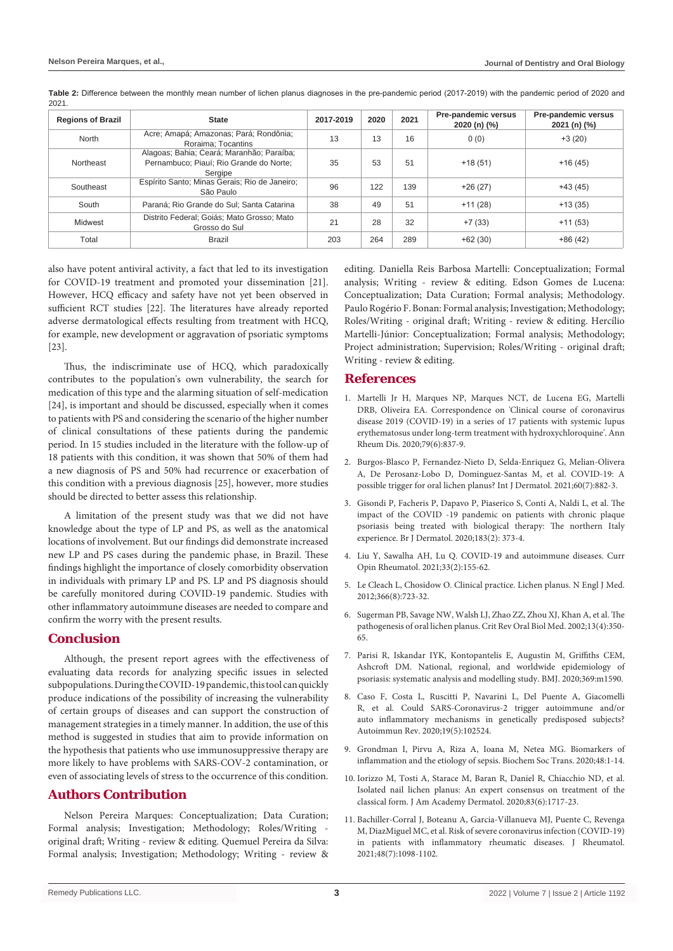| <b>Regions of Brazil</b> | <b>State</b>                                                                                    | 2017-2019 | 2020 | 2021 | Pre-pandemic versus<br>2020 (n) (%) | Pre-pandemic versus<br>2021 (n) (%) |
|--------------------------|-------------------------------------------------------------------------------------------------|-----------|------|------|-------------------------------------|-------------------------------------|
| North                    | Acre; Amapá; Amazonas; Pará; Rondônia;<br>Roraima; Tocantins                                    | 13        | 13   | 16   | 0(0)                                | $+3(20)$                            |
| Northeast                | Alagoas; Bahia; Ceará; Maranhão; Paraíba;<br>Pernambuco; Piauí; Rio Grande do Norte;<br>Sergipe | 35        | 53   | 51   | $+18(51)$                           | $+16(45)$                           |
| Southeast                | Espírito Santo; Minas Gerais; Rio de Janeiro;<br>São Paulo                                      | 96        | 122  | 139  | $+26(27)$                           | $+43(45)$                           |
| South                    | Paraná; Rio Grande do Sul; Santa Catarina                                                       | 38        | 49   | 51   | $+11(28)$                           | $+13(35)$                           |
| Midwest                  | Distrito Federal; Goiás; Mato Grosso; Mato<br>Grosso do Sul                                     | 21        | 28   | 32   | $+7(33)$                            | $+11(53)$                           |
| Total                    | <b>Brazil</b>                                                                                   | 203       | 264  | 289  | $+62(30)$                           | $+86(42)$                           |

**Table 2:** Difference between the monthly mean number of lichen planus diagnoses in the pre-pandemic period (2017-2019) with the pandemic period of 2020 and 2021.

also have potent antiviral activity, a fact that led to its investigation for COVID-19 treatment and promoted your dissemination [21]. However, HCQ efficacy and safety have not yet been observed in sufficient RCT studies [22]. The literatures have already reported adverse dermatological effects resulting from treatment with HCQ, for example, new development or aggravation of psoriatic symptoms [23].

Thus, the indiscriminate use of HCQ, which paradoxically contributes to the population's own vulnerability, the search for medication of this type and the alarming situation of self-medication [24], is important and should be discussed, especially when it comes to patients with PS and considering the scenario of the higher number of clinical consultations of these patients during the pandemic period. In 15 studies included in the literature with the follow-up of 18 patients with this condition, it was shown that 50% of them had a new diagnosis of PS and 50% had recurrence or exacerbation of this condition with a previous diagnosis [25], however, more studies should be directed to better assess this relationship.

A limitation of the present study was that we did not have knowledge about the type of LP and PS, as well as the anatomical locations of involvement. But our findings did demonstrate increased new LP and PS cases during the pandemic phase, in Brazil. These findings highlight the importance of closely comorbidity observation in individuals with primary LP and PS. LP and PS diagnosis should be carefully monitored during COVID-19 pandemic. Studies with other inflammatory autoimmune diseases are needed to compare and confirm the worry with the present results.

# **Conclusion**

Although, the present report agrees with the effectiveness of evaluating data records for analyzing specific issues in selected subpopulations. During the COVID-19 pandemic, this tool can quickly produce indications of the possibility of increasing the vulnerability of certain groups of diseases and can support the construction of management strategies in a timely manner. In addition, the use of this method is suggested in studies that aim to provide information on the hypothesis that patients who use immunosuppressive therapy are more likely to have problems with SARS-COV-2 contamination, or even of associating levels of stress to the occurrence of this condition.

# **Authors Contribution**

Nelson Pereira Marques: Conceptualization; Data Curation; Formal analysis; Investigation; Methodology; Roles/Writing original draft; Writing - review & editing. Quemuel Pereira da Silva: Formal analysis; Investigation; Methodology; Writing - review & editing. Daniella Reis Barbosa Martelli: Conceptualization; Formal analysis; Writing - review & editing. Edson Gomes de Lucena: Conceptualization; Data Curation; Formal analysis; Methodology. Paulo Rogério F. Bonan: Formal analysis; Investigation; Methodology; Roles/Writing - original draft; Writing - review & editing. Hercílio Martelli-Júnior: Conceptualization; Formal analysis; Methodology; Project administration; Supervision; Roles/Writing - original draft; Writing - review & editing.

## **References**

- 1. [Martelli Jr H, Marques NP, Marques NCT, de Lucena EG, Martelli](https://pubmed.ncbi.nlm.nih.gov/32332072/)  [DRB, Oliveira EA. Correspondence on 'Clinical course of coronavirus](https://pubmed.ncbi.nlm.nih.gov/32332072/)  [disease 2019 \(COVID-19\) in a series of 17 patients with systemic lupus](https://pubmed.ncbi.nlm.nih.gov/32332072/)  [erythematosus under long-term treatment with hydroxychloroquine'. Ann](https://pubmed.ncbi.nlm.nih.gov/32332072/)  [Rheum Dis. 2020;79\(6\):837-9.](https://pubmed.ncbi.nlm.nih.gov/32332072/)
- 2. [Burgos-Blasco P, Fernandez-Nieto D, Selda-Enriquez G, Melian-Olivera](https://pubmed.ncbi.nlm.nih.gov/33686658/)  [A, De Perosanz-Lobo D, Dominguez-Santas M, et al. COVID-19: A](https://pubmed.ncbi.nlm.nih.gov/33686658/)  [possible trigger for oral lichen planus? Int J Dermatol. 2021;60\(7\):882-3.](https://pubmed.ncbi.nlm.nih.gov/33686658/)
- 3. [Gisondi P, Facheris P, Dapavo P, Piaserico S, Conti A, Naldi L, et al. The](https://www.ncbi.nlm.nih.gov/pmc/articles/PMC7267283/)  [impact of the COVID ‐19 pandemic on patients with chronic plaque](https://www.ncbi.nlm.nih.gov/pmc/articles/PMC7267283/)  [psoriasis being treated with biological therapy: The northern Italy](https://www.ncbi.nlm.nih.gov/pmc/articles/PMC7267283/)  [experience. Br J Dermatol. 2020;183\(2\): 373-4.](https://www.ncbi.nlm.nih.gov/pmc/articles/PMC7267283/)
- 4. [Liu Y, Sawalha AH, Lu Q. COVID-19 and autoimmune diseases. Curr](https://pubmed.ncbi.nlm.nih.gov/33332890/)  [Opin Rheumatol. 2021;33\(2\):155-62.](https://pubmed.ncbi.nlm.nih.gov/33332890/)
- 5. [Le Cleach L, Chosidow O. Clinical practice. Lichen planus. N Engl J Med.](https://pubmed.ncbi.nlm.nih.gov/22356325/)  [2012;366\(8\):723-32.](https://pubmed.ncbi.nlm.nih.gov/22356325/)
- 6. [Sugerman PB, Savage NW, Walsh LJ, Zhao ZZ, Zhou XJ, Khan A, et al. The](https://pubmed.ncbi.nlm.nih.gov/20923445/)  [pathogenesis of oral lichen planus. Crit Rev Oral Biol Med. 2002;13\(4\):350-](https://pubmed.ncbi.nlm.nih.gov/20923445/) [65.](https://pubmed.ncbi.nlm.nih.gov/20923445/)
- 7. [Parisi R, Iskandar IYK, Kontopantelis E, Augustin M, Griffiths CEM,](https://www.bmj.com/content/369/bmj.m1590)  [Ashcroft DM. National, regional, and worldwide epidemiology of](https://www.bmj.com/content/369/bmj.m1590)  [psoriasis: systematic analysis and modelling study. BMJ. 2020;369:m1590.](https://www.bmj.com/content/369/bmj.m1590)
- 8. [Caso F, Costa L, Ruscitti P, Navarini L, Del Puente A, Giacomelli](https://pubmed.ncbi.nlm.nih.gov/32220633/)  [R, et al. Could SARS-Coronavirus-2 trigger autoimmune and/or](https://pubmed.ncbi.nlm.nih.gov/32220633/)  [auto inflammatory mechanisms in genetically predisposed subjects?](https://pubmed.ncbi.nlm.nih.gov/32220633/)  [Autoimmun Rev. 2020;19\(5\):102524.](https://pubmed.ncbi.nlm.nih.gov/32220633/)
- 9. [Grondman I, Pirvu A, Riza A, Ioana M, Netea MG. Biomarkers of](https://pubmed.ncbi.nlm.nih.gov/32049312/)  [inflammation and the etiology of sepsis. Biochem Soc Trans. 2020;48:1-14.](https://pubmed.ncbi.nlm.nih.gov/32049312/)
- 10. [Iorizzo M, Tosti A, Starace M, Baran R, Daniel R, Chiacchio ND, et al.](https://pubmed.ncbi.nlm.nih.gov/32112995/)  [Isolated nail lichen planus: An expert consensus on treatment of the](https://pubmed.ncbi.nlm.nih.gov/32112995/)  [classical form. J Am Academy Dermatol. 2020;83\(6\):1717-23.](https://pubmed.ncbi.nlm.nih.gov/32112995/)
- 11. [Bachiller-Corral J, Boteanu A, Garcia-Villanueva MJ, Puente C, Revenga](https://pubmed.ncbi.nlm.nih.gov/33722949/)  [M, DiazMiguel MC, et al. Risk of severe coronavirus infection \(COVID-19\)](https://pubmed.ncbi.nlm.nih.gov/33722949/)  [in patients with inflammatory rheumatic diseases. J Rheumatol.](https://pubmed.ncbi.nlm.nih.gov/33722949/)  [2021;48\(7\):1098-1102.](https://pubmed.ncbi.nlm.nih.gov/33722949/)